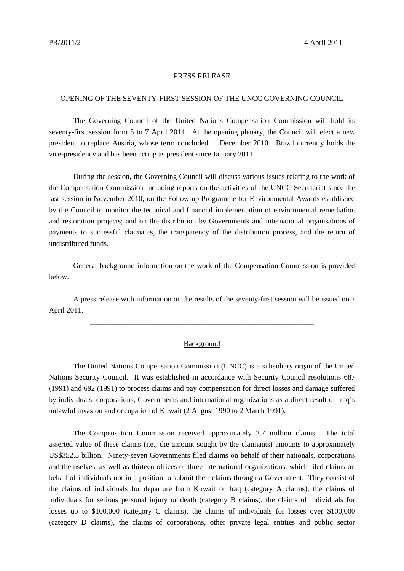## PRESS RELEASE

## OPENING OF THE SEVENTY-FIRST SESSION OF THE UNCC GOVERNING COUNCIL

The Governing Council of the United Nations Compensation Commission will hold its seventy-first session from 5 to 7 April 2011. At the opening plenary, the Council will elect a new president to replace Austria, whose term concluded in December 2010. Brazil currently holds the vice-presidency and has been acting as president since January 2011.

During the session, the Governing Council will discuss various issues relating to the work of the Compensation Commission including reports on the activities of the UNCC Secretariat since the last session in November 2010; on the Follow-up Programme for Environmental Awards established by the Council to monitor the technical and financial implementation of environmental remediation and restoration projects; and on the distribution by Governments and international organisations of payments to successful claimants, the transparency of the distribution process, and the return of undistributed funds.

General background information on the work of the Compensation Commission is provided below.

A press release with information on the results of the seventy-first session will be issued on 7 April 2011.

\_\_\_\_\_\_\_\_\_\_\_\_\_\_\_\_\_\_\_\_\_\_\_\_\_\_\_\_\_\_\_\_\_\_\_\_\_\_\_\_\_\_\_\_\_\_\_\_\_\_\_\_\_\_\_\_\_\_\_\_

## Background

The United Nations Compensation Commission (UNCC) is a subsidiary organ of the United Nations Security Council. It was established in accordance with Security Council resolutions 687 (1991) and 692 (1991) to process claims and pay compensation for direct losses and damage suffered by individuals, corporations, Governments and international organizations as a direct result of Iraq's unlawful invasion and occupation of Kuwait (2 August 1990 to 2 March 1991).

The Compensation Commission received approximately 2.7 million claims. The total asserted value of these claims (i.e., the amount sought by the claimants) amounts to approximately US\$352.5 billion. Ninety-seven Governments filed claims on behalf of their nationals, corporations and themselves, as well as thirteen offices of three international organizations, which filed claims on behalf of individuals not in a position to submit their claims through a Government. They consist of the claims of individuals for departure from Kuwait or Iraq (category A claims), the claims of individuals for serious personal injury or death (category B claims), the claims of individuals for losses up to \$100,000 (category C claims), the claims of individuals for losses over \$100,000 (category D claims), the claims of corporations, other private legal entities and public sector